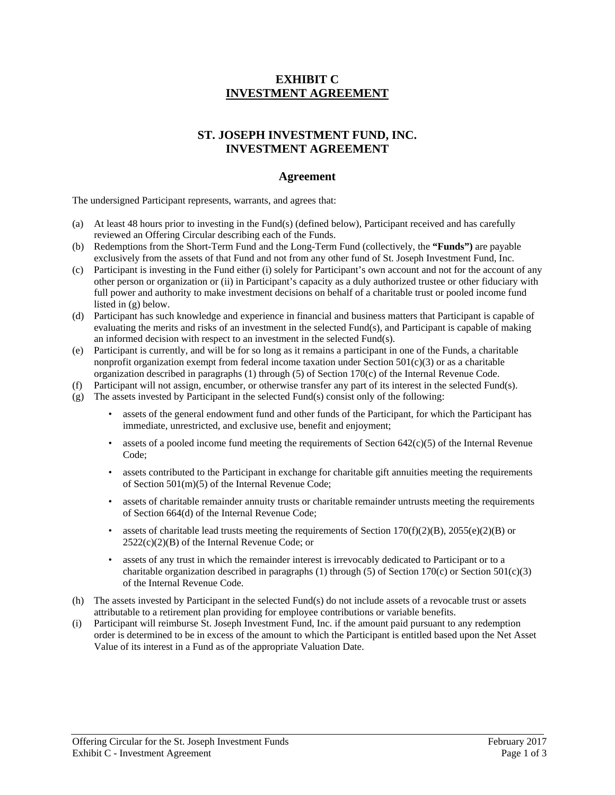## **EXHIBIT C INVESTMENT AGREEMENT**

# **ST. JOSEPH INVESTMENT FUND, INC. INVESTMENT AGREEMENT**

### **Agreement**

The undersigned Participant represents, warrants, and agrees that:

- (a) At least 48 hours prior to investing in the Fund(s) (defined below), Participant received and has carefully reviewed an Offering Circular describing each of the Funds.
- (b) Redemptions from the Short-Term Fund and the Long-Term Fund (collectively, the **"Funds")** are payable exclusively from the assets of that Fund and not from any other fund of St. Joseph Investment Fund, Inc.
- (c) Participant is investing in the Fund either (i) solely for Participant's own account and not for the account of any other person or organization or (ii) in Participant's capacity as a duly authorized trustee or other fiduciary with full power and authority to make investment decisions on behalf of a charitable trust or pooled income fund listed in (g) below.
- (d) Participant has such knowledge and experience in financial and business matters that Participant is capable of evaluating the merits and risks of an investment in the selected Fund(s), and Participant is capable of making an informed decision with respect to an investment in the selected Fund(s).
- (e) Participant is currently, and will be for so long as it remains a participant in one of the Funds, a charitable nonprofit organization exempt from federal income taxation under Section  $501(c)(3)$  or as a charitable organization described in paragraphs (1) through (5) of Section 170(c) of the Internal Revenue Code.
- (f) Participant will not assign, encumber, or otherwise transfer any part of its interest in the selected Fund(s).
- (g) The assets invested by Participant in the selected Fund(s) consist only of the following:
	- assets of the general endowment fund and other funds of the Participant, for which the Participant has immediate, unrestricted, and exclusive use, benefit and enjoyment;
	- assets of a pooled income fund meeting the requirements of Section  $642(c)(5)$  of the Internal Revenue Code;
	- assets contributed to the Participant in exchange for charitable gift annuities meeting the requirements of Section 501(m)(5) of the Internal Revenue Code;
	- assets of charitable remainder annuity trusts or charitable remainder untrusts meeting the requirements of Section 664(d) of the Internal Revenue Code;
	- assets of charitable lead trusts meeting the requirements of Section 170(f)(2)(B), 2055(e)(2)(B) or 2522(c)(2)(B) of the Internal Revenue Code; or
	- assets of any trust in which the remainder interest is irrevocably dedicated to Participant or to a charitable organization described in paragraphs (1) through (5) of Section 170(c) or Section 501(c)(3) of the Internal Revenue Code.
- (h) The assets invested by Participant in the selected Fund(s) do not include assets of a revocable trust or assets attributable to a retirement plan providing for employee contributions or variable benefits.
- (i) Participant will reimburse St. Joseph Investment Fund, Inc. if the amount paid pursuant to any redemption order is determined to be in excess of the amount to which the Participant is entitled based upon the Net Asset Value of its interest in a Fund as of the appropriate Valuation Date.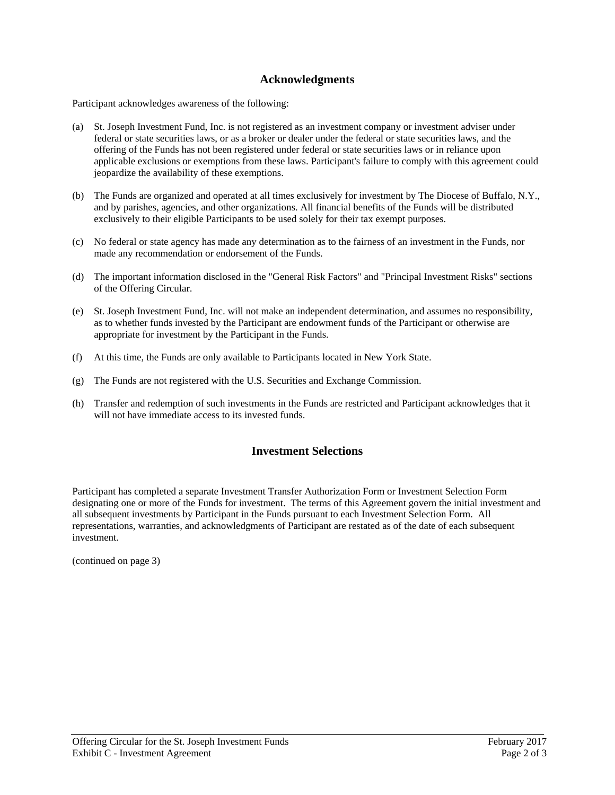## **Acknowledgments**

Participant acknowledges awareness of the following:

- (a) St. Joseph Investment Fund, Inc. is not registered as an investment company or investment adviser under federal or state securities laws, or as a broker or dealer under the federal or state securities laws, and the offering of the Funds has not been registered under federal or state securities laws or in reliance upon applicable exclusions or exemptions from these laws. Participant's failure to comply with this agreement could jeopardize the availability of these exemptions.
- (b) The Funds are organized and operated at all times exclusively for investment by The Diocese of Buffalo, N.Y., and by parishes, agencies, and other organizations. All financial benefits of the Funds will be distributed exclusively to their eligible Participants to be used solely for their tax exempt purposes.
- (c) No federal or state agency has made any determination as to the fairness of an investment in the Funds, nor made any recommendation or endorsement of the Funds.
- (d) The important information disclosed in the "General Risk Factors" and "Principal Investment Risks" sections of the Offering Circular.
- (e) St. Joseph Investment Fund, Inc. will not make an independent determination, and assumes no responsibility, as to whether funds invested by the Participant are endowment funds of the Participant or otherwise are appropriate for investment by the Participant in the Funds.
- (f) At this time, the Funds are only available to Participants located in New York State.
- (g) The Funds are not registered with the U.S. Securities and Exchange Commission.
- (h) Transfer and redemption of such investments in the Funds are restricted and Participant acknowledges that it will not have immediate access to its invested funds.

#### **Investment Selections**

Participant has completed a separate Investment Transfer Authorization Form or Investment Selection Form designating one or more of the Funds for investment. The terms of this Agreement govern the initial investment and all subsequent investments by Participant in the Funds pursuant to each Investment Selection Form. All representations, warranties, and acknowledgments of Participant are restated as of the date of each subsequent investment.

(continued on page 3)